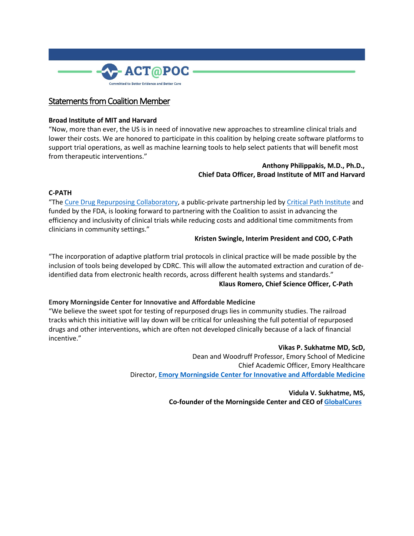

# Statements from Coalition Member

## **Broad Institute of MIT and Harvard**

"Now, more than ever, the US is in need of innovative new approaches to streamline clinical trials and lower their costs. We are honored to participate in this coalition by helping create software platforms to support trial operations, as well as machine learning tools to help select patients that will benefit most from therapeutic interventions."

## **Anthony Philippakis, M.D., Ph.D., Chief Data Officer, Broad Institute of MIT and Harvard**

#### **C-PATH**

"The [Cure Drug Repurposing Collaboratory,](https://urldefense.com/v3/__https:/c-path.org/programs/cdrc/__;!!OToaGQ!6JbtPsi9T9oR_S4Qj3WXYayd3ZU9FlqoI48l7f0g6MPIJ8RNE89cW1hO1mDGaCykQd4bog$) a public-private partnership led by [Critical Path Institute](https://urldefense.com/v3/__https:/c-path.org__;!!OToaGQ!6JbtPsi9T9oR_S4Qj3WXYayd3ZU9FlqoI48l7f0g6MPIJ8RNE89cW1hO1mDGaCwmZochzw$) and funded by the FDA, is looking forward to partnering with the Coalition to assist in advancing the efficiency and inclusivity of clinical trials while reducing costs and additional time commitments from clinicians in community settings."

### **Kristen Swingle, Interim President and COO, C-Path**

"The incorporation of adaptive platform trial protocols in clinical practice will be made possible by the inclusion of tools being developed by CDRC. This will allow the automated extraction and curation of deidentified data from electronic health records, across different health systems and standards."

#### **Klaus Romero, Chief Science Officer, C-Path**

## **Emory Morningside Center for Innovative and Affordable Medicine**

"We believe the sweet spot for testing of repurposed drugs lies in community studies. The railroad tracks which this initiative will lay down will be critical for unleashing the full potential of repurposed drugs and other interventions, which are often not developed clinically because of a lack of financial incentive."

#### **Vikas P. Sukhatme MD, ScD,**

Dean and Woodruff Professor, Emory School of Medicine Chief Academic Officer, Emory Healthcare Director, **[Emory Morningside Center for Innovative and Affordable Medicine](https://urldefense.com/v3/__http:/whsc.emory.edu/research/morningside/index.html__;!!OToaGQ!5G7VYz5ywmElKVGIHVb9KNcUwOb-jUsV5mwi5E84YbbpjtMCftRNYhnlZ0CRms0wZu5ikA$)**

> **Vidula V. Sukhatme, MS, Co-founder of the Morningside Center and CEO of [GlobalCures](https://urldefense.com/v3/__https:/www.global-cures.org/__;!!OToaGQ!5G7VYz5ywmElKVGIHVb9KNcUwOb-jUsV5mwi5E84YbbpjtMCftRNYhnlZ0CRms2rR50z9Q$)**